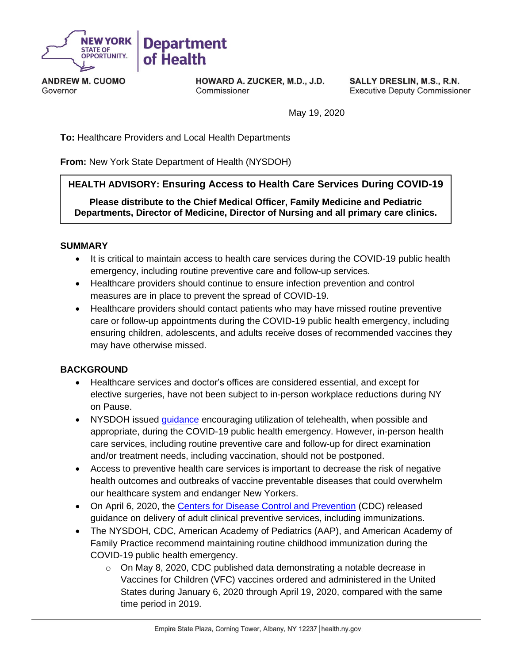

**ANDREW M. CUOMO** Governor

HOWARD A. ZUCKER, M.D., J.D. Commissioner

**SALLY DRESLIN, M.S., R.N. Executive Deputy Commissioner** 

May 19, 2020

**To:** Healthcare Providers and Local Health Departments

**From:** New York State Department of Health (NYSDOH)

#### **HEALTH ADVISORY: Ensuring Access to Health Care Services During COVID-19**

**Please distribute to the Chief Medical Officer, Family Medicine and Pediatric Departments, Director of Medicine, Director of Nursing and all primary care clinics.**

#### **SUMMARY**

- It is critical to maintain access to health care services during the COVID-19 public health emergency, including routine preventive care and follow-up services.
- Healthcare providers should continue to ensure infection prevention and control measures are in place to prevent the spread of COVID-19.
- Healthcare providers should contact patients who may have missed routine preventive care or follow-up appointments during the COVID-19 public health emergency, including ensuring children, adolescents, and adults receive doses of recommended vaccines they may have otherwise missed.

#### **BACKGROUND**

- Healthcare services and doctor's offices are considered essential, and except for elective surgeries, have not been subject to in-person workplace reductions during NY on Pause.
- NYSDOH issued quidance encouraging utilization of telehealth, when possible and appropriate, during the COVID-19 public health emergency. However, in-person health care services, including routine preventive care and follow-up for direct examination and/or treatment needs, including vaccination, should not be postponed.
- Access to preventive health care services is important to decrease the risk of negative health outcomes and outbreaks of vaccine preventable diseases that could overwhelm our healthcare system and endanger New Yorkers.
- On April 6, 2020, the [Centers for Disease Control and Prevention](https://www.cdc.gov/coronavirus/2019-ncov/hcp/preparedness-checklists.html) (CDC) released guidance on delivery of adult clinical preventive services, including immunizations.
- The NYSDOH, CDC, American Academy of Pediatrics (AAP), and American Academy of Family Practice recommend maintaining routine childhood immunization during the COVID-19 public health emergency.
	- $\circ$  On May 8, 2020, CDC published data demonstrating a notable decrease in Vaccines for Children (VFC) vaccines ordered and administered in the United States during January 6, 2020 through April 19, 2020, compared with the same time period in 2019.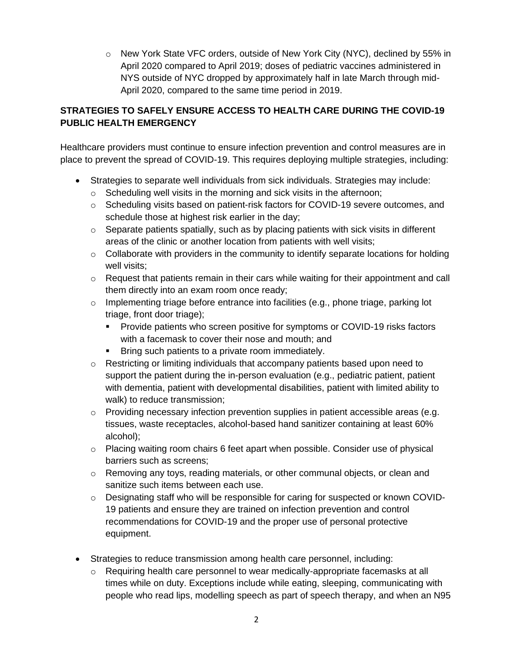o New York State VFC orders, outside of New York City (NYC), declined by 55% in April 2020 compared to April 2019; doses of pediatric vaccines administered in NYS outside of NYC dropped by approximately half in late March through mid-April 2020, compared to the same time period in 2019.

## **STRATEGIES TO SAFELY ENSURE ACCESS TO HEALTH CARE DURING THE COVID-19 PUBLIC HEALTH EMERGENCY**

Healthcare providers must continue to ensure infection prevention and control measures are in place to prevent the spread of COVID-19. This requires deploying multiple strategies, including:

- [Strategies to separate well individuals](https://services.aap.org/en/pages/covid-19-clinical-guidance-q-a/) from sick individuals. Strategies may include:
	- o Scheduling well visits in the morning and sick visits in the afternoon;
	- o Scheduling visits based on patient-risk factors for COVID-19 severe outcomes, and schedule those at highest risk earlier in the day;
	- $\circ$  Separate patients spatially, such as by placing patients with sick visits in different areas of the clinic or another location from patients with well visits;
	- $\circ$  Collaborate with providers in the community to identify separate locations for holding well visits;
	- $\circ$  Request that patients remain in their cars while waiting for their appointment and call them directly into an exam room once ready;
	- $\circ$  Implementing triage before entrance into facilities (e.g., phone triage, parking lot triage, front door triage);
		- **•** Provide patients who screen positive for symptoms or COVID-19 risks factors with a facemask to cover their nose and mouth; and
		- **EXECT** Bring such patients to a private room immediately.
	- $\circ$  Restricting or limiting individuals that accompany patients based upon need to support the patient during the in-person evaluation (e.g., pediatric patient, patient with dementia, patient with developmental disabilities, patient with limited ability to walk) to reduce transmission;
	- $\circ$  Providing necessary infection prevention supplies in patient accessible areas (e.g. tissues, waste receptacles, alcohol-based hand sanitizer containing at least 60% alcohol);
	- $\circ$  Placing waiting room chairs 6 feet apart when possible. Consider use of physical barriers such as screens;
	- $\circ$  Removing any toys, reading materials, or other communal objects, or clean and sanitize such items between each use.
	- o Designating staff who will be responsible for caring for suspected or known COVID-19 patients and ensure they are trained on infection prevention and control recommendations for COVID-19 and the proper use of personal protective equipment.
- Strategies to reduce transmission among health care personnel, including:
	- $\circ$  Requiring health care personnel to wear medically-appropriate facemasks at all times while on duty. Exceptions include while eating, sleeping, communicating with people who read lips, modelling speech as part of speech therapy, and when an N95